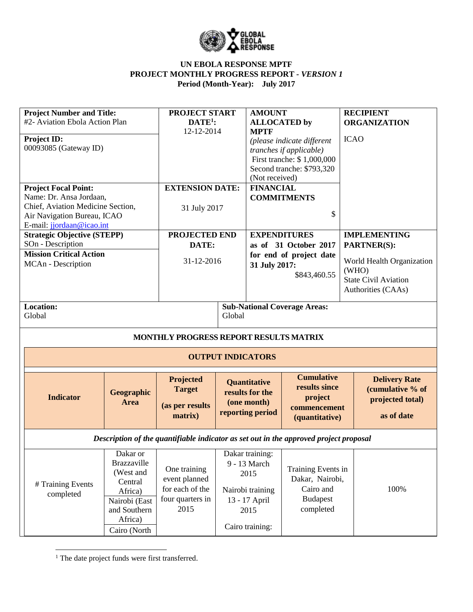

| <b>Project Number and Title:</b>                         |                         | <b>PROJECT START</b>                                                                  |        | <b>AMOUNT</b>            |                                     | <b>RECIPIENT</b>            |
|----------------------------------------------------------|-------------------------|---------------------------------------------------------------------------------------|--------|--------------------------|-------------------------------------|-----------------------------|
| #2- Aviation Ebola Action Plan                           |                         | $DATE1$ :                                                                             |        | <b>ALLOCATED by</b>      |                                     | <b>ORGANIZATION</b>         |
|                                                          |                         | 12-12-2014                                                                            |        | <b>MPTF</b>              |                                     |                             |
| Project ID:                                              |                         |                                                                                       |        |                          | (please indicate different          | <b>ICAO</b>                 |
| 00093085 (Gateway ID)                                    |                         |                                                                                       |        |                          | tranches if applicable)             |                             |
|                                                          |                         |                                                                                       |        |                          | First tranche: \$1,000,000          |                             |
|                                                          |                         |                                                                                       |        |                          | Second tranche: \$793,320           |                             |
|                                                          |                         |                                                                                       |        | (Not received)           |                                     |                             |
| <b>Project Focal Point:</b>                              |                         | <b>EXTENSION DATE:</b>                                                                |        | <b>FINANCIAL</b>         |                                     |                             |
| Name: Dr. Ansa Jordaan,                                  |                         |                                                                                       |        |                          | <b>COMMITMENTS</b>                  |                             |
| Chief, Aviation Medicine Section,                        |                         | 31 July 2017                                                                          |        |                          | \$                                  |                             |
| Air Navigation Bureau, ICAO<br>E-mail: jjordaan@icao.int |                         |                                                                                       |        |                          |                                     |                             |
| <b>Strategic Objective (STEPP)</b>                       |                         | PROJECTED END                                                                         |        | <b>EXPENDITURES</b>      |                                     | <b>IMPLEMENTING</b>         |
| SOn - Description                                        |                         | DATE:                                                                                 |        |                          | as of 31 October 2017               | <b>PARTNER(S):</b>          |
| <b>Mission Critical Action</b>                           |                         |                                                                                       |        |                          | for end of project date             |                             |
| MCAn - Description                                       |                         | 31-12-2016                                                                            |        | 31 July 2017:            |                                     | World Health Organization   |
|                                                          |                         |                                                                                       |        |                          | \$843,460.55                        | (WHO)                       |
|                                                          |                         |                                                                                       |        |                          |                                     | <b>State Civil Aviation</b> |
|                                                          |                         |                                                                                       |        |                          |                                     | Authorities (CAAs)          |
|                                                          |                         |                                                                                       |        |                          |                                     |                             |
| <b>Location:</b><br>Global                               |                         |                                                                                       | Global |                          | <b>Sub-National Coverage Areas:</b> |                             |
|                                                          |                         |                                                                                       |        |                          |                                     |                             |
|                                                          |                         | MONTHLY PROGRESS REPORT RESULTS MATRIX                                                |        |                          |                                     |                             |
|                                                          |                         |                                                                                       |        |                          |                                     |                             |
|                                                          |                         |                                                                                       |        | <b>OUTPUT INDICATORS</b> |                                     |                             |
|                                                          |                         | Projected                                                                             |        | <b>Quantitative</b>      | <b>Cumulative</b>                   | <b>Delivery Rate</b>        |
|                                                          | Geographic              | <b>Target</b>                                                                         |        | results for the          | results since                       | (cumulative % of            |
| <b>Indicator</b>                                         | <b>Area</b>             | (as per results                                                                       |        | (one month)              | project                             | projected total)            |
|                                                          |                         | matrix)                                                                               |        | reporting period         | commencement                        | as of date                  |
|                                                          |                         |                                                                                       |        |                          | (quantitative)                      |                             |
|                                                          |                         | Description of the quantifiable indicator as set out in the approved project proposal |        |                          |                                     |                             |
|                                                          | Dakar or                |                                                                                       |        | Dakar training:          |                                     |                             |
|                                                          | <b>Brazzaville</b>      |                                                                                       |        | 9 - 13 March             |                                     |                             |
|                                                          | (West and               | One training                                                                          |        | 2015                     | Training Events in                  |                             |
| # Training Events                                        | Central                 | event planned                                                                         |        |                          | Dakar, Nairobi,                     |                             |
| completed                                                | Africa)                 | for each of the                                                                       |        | Nairobi training         | Cairo and                           | 100%                        |
|                                                          | Nairobi (East           | four quarters in                                                                      |        | 13 - 17 April            | <b>Budapest</b>                     |                             |
|                                                          | and Southern            | 2015                                                                                  |        | 2015                     | completed                           |                             |
|                                                          | Africa)<br>Cairo (North |                                                                                       |        | Cairo training:          |                                     |                             |

<sup>1</sup> The date project funds were first transferred.

 $\overline{\phantom{a}}$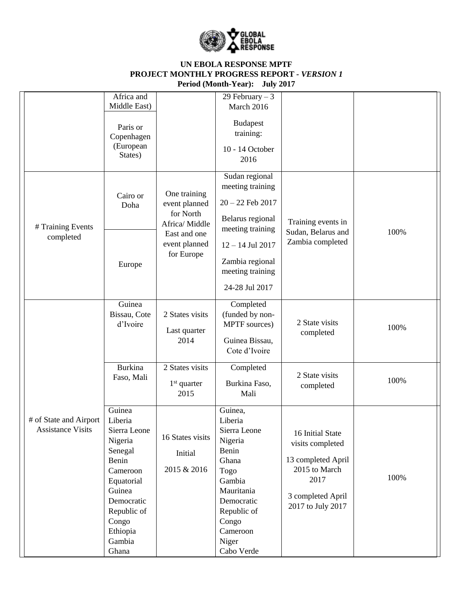

|                                                    | Africa and<br>Middle East)                                                                                                                                                |                                                              | 29 February $-3$<br>March 2016                                                                                                                                           |                                                                                                                               |      |
|----------------------------------------------------|---------------------------------------------------------------------------------------------------------------------------------------------------------------------------|--------------------------------------------------------------|--------------------------------------------------------------------------------------------------------------------------------------------------------------------------|-------------------------------------------------------------------------------------------------------------------------------|------|
|                                                    | Paris or<br>Copenhagen<br>(European<br>States)                                                                                                                            |                                                              | <b>Budapest</b><br>training:<br>10 - 14 October<br>2016                                                                                                                  |                                                                                                                               |      |
| # Training Events                                  | Cairo or<br>Doha                                                                                                                                                          | One training<br>event planned<br>for North<br>Africa/ Middle | Sudan regional<br>meeting training<br>$20 - 22$ Feb $2017$<br>Belarus regional<br>meeting training                                                                       | Training events in<br>Sudan, Belarus and                                                                                      | 100% |
| completed                                          | Europe                                                                                                                                                                    | East and one<br>event planned<br>for Europe                  | $12 - 14$ Jul 2017<br>Zambia regional<br>meeting training<br>24-28 Jul 2017                                                                                              | Zambia completed                                                                                                              |      |
|                                                    | Guinea<br>Bissau, Cote<br>d'Ivoire                                                                                                                                        | 2 States visits<br>Last quarter<br>2014                      | Completed<br>(funded by non-<br>MPTF sources)<br>Guinea Bissau,<br>Cote d'Ivoire                                                                                         | 2 State visits<br>completed                                                                                                   | 100% |
|                                                    | <b>Burkina</b><br>Faso, Mali                                                                                                                                              | 2 States visits<br>$1st$ quarter<br>2015                     | Completed<br>Burkina Faso,<br>Mali                                                                                                                                       | 2 State visits<br>completed                                                                                                   | 100% |
| # of State and Airport<br><b>Assistance Visits</b> | Guinea<br>Liberia<br>Sierra Leone<br>Nigeria<br>Senegal<br>Benin<br>Cameroon<br>Equatorial<br>Guinea<br>Democratic<br>Republic of<br>Congo<br>Ethiopia<br>Gambia<br>Ghana | 16 States visits<br>Initial<br>2015 & 2016                   | Guinea,<br>Liberia<br>Sierra Leone<br>Nigeria<br>Benin<br>Ghana<br>Togo<br>Gambia<br>Mauritania<br>Democratic<br>Republic of<br>Congo<br>Cameroon<br>Niger<br>Cabo Verde | 16 Initial State<br>visits completed<br>13 completed April<br>2015 to March<br>2017<br>3 completed April<br>2017 to July 2017 | 100% |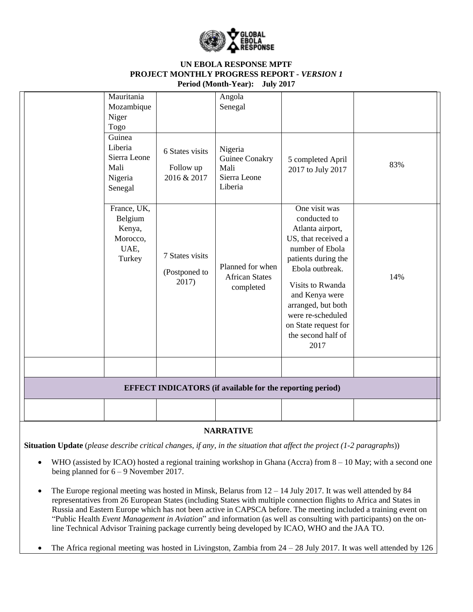

| Mauritania<br>Mozambique<br>Niger<br>Togo                       |                                             | Angola<br>Senegal                                                |                                                                                                                                                                                                                                                                              |     |
|-----------------------------------------------------------------|---------------------------------------------|------------------------------------------------------------------|------------------------------------------------------------------------------------------------------------------------------------------------------------------------------------------------------------------------------------------------------------------------------|-----|
| Guinea<br>Liberia<br>Sierra Leone<br>Mali<br>Nigeria<br>Senegal | 6 States visits<br>Follow up<br>2016 & 2017 | Nigeria<br>Guinee Conakry<br>Mali<br>Sierra Leone<br>Liberia     | 5 completed April<br>2017 to July 2017                                                                                                                                                                                                                                       | 83% |
| France, UK,<br>Belgium<br>Kenya,<br>Morocco,<br>UAE,<br>Turkey  | 7 States visits<br>(Postponed to<br>2017)   | Planned for when<br><b>African States</b><br>completed           | One visit was<br>conducted to<br>Atlanta airport,<br>US, that received a<br>number of Ebola<br>patients during the<br>Ebola outbreak.<br>Visits to Rwanda<br>and Kenya were<br>arranged, but both<br>were re-scheduled<br>on State request for<br>the second half of<br>2017 | 14% |
|                                                                 |                                             |                                                                  |                                                                                                                                                                                                                                                                              |     |
|                                                                 |                                             | <b>EFFECT INDICATORS</b> (if available for the reporting period) |                                                                                                                                                                                                                                                                              |     |
|                                                                 |                                             |                                                                  |                                                                                                                                                                                                                                                                              |     |

## **NARRATIVE**

**Situation Update** (*please describe critical changes, if any, in the situation that affect the project (1-2 paragraphs*))

- WHO (assisted by ICAO) hosted a regional training workshop in Ghana (Accra) from 8 10 May; with a second one being planned for 6 – 9 November 2017.
- The Europe regional meeting was hosted in Minsk, Belarus from 12 14 July 2017. It was well attended by 84 representatives from 26 European States (including States with multiple connection flights to Africa and States in Russia and Eastern Europe which has not been active in CAPSCA before. The meeting included a training event on "Public Health *Event Management in Aviation*" and information (as well as consulting with participants) on the online Technical Advisor Training package currently being developed by ICAO, WHO and the JAA TO.
- The Africa regional meeting was hosted in Livingston, Zambia from 24 28 July 2017. It was well attended by 126